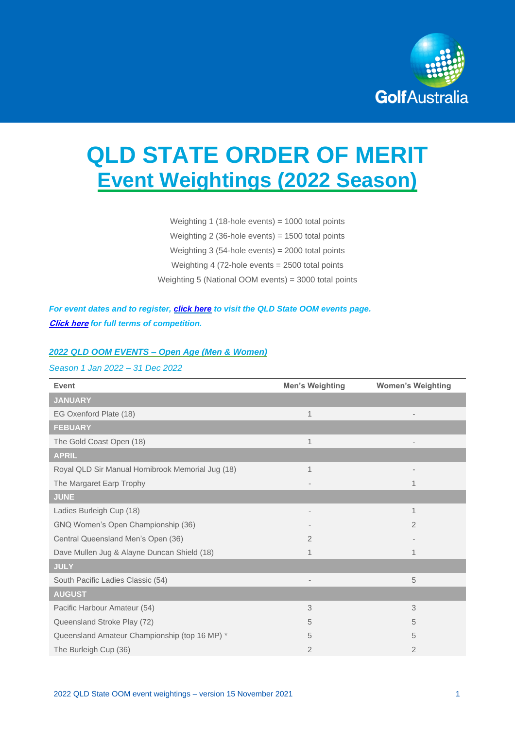

# **QLD STATE ORDER OF MERIT Event Weightings (2022 Season)**

Weighting 1 (18-hole events) = 1000 total points Weighting 2 (36-hole events) = 1500 total points Weighting 3 (54-hole events) = 2000 total points Weighting 4 (72-hole events = 2500 total points Weighting 5 (National OOM events) = 3000 total points

*For event dates and to register, [click here](https://www.golf.org.au/events#/customer/1090/schedule/2021/10640) to visit the QLD State OOM events page.* **[Click here](https://assets.ctfassets.net/3urhge2ecl20/2jf2QnevfgLSCOKukJbtjV/cfcd868bd1ead9a76bd15c34df663038/TERMS_-_2022_GA_State_Orders_of_Merit.pdf)** *for full terms of competition.* 

#### *2022 QLD OOM EVENTS – Open Age (Men & Women)*

## *Season 1 Jan 2022 – 31 Dec 2022*

| Event                                             | <b>Men's Weighting</b>       | <b>Women's Weighting</b> |
|---------------------------------------------------|------------------------------|--------------------------|
| <b>JANUARY</b>                                    |                              |                          |
| EG Oxenford Plate (18)                            | $\mathbf 1$                  |                          |
| <b>FEBUARY</b>                                    |                              |                          |
| The Gold Coast Open (18)                          | $\mathbf 1$                  |                          |
| <b>APRIL</b>                                      |                              |                          |
| Royal QLD Sir Manual Hornibrook Memorial Jug (18) | 1                            |                          |
| The Margaret Earp Trophy                          |                              |                          |
| <b>JUNE</b>                                       |                              |                          |
| Ladies Burleigh Cup (18)                          | $\qquad \qquad \blacksquare$ | 1                        |
| GNQ Women's Open Championship (36)                |                              | $\overline{2}$           |
| Central Queensland Men's Open (36)                | 2                            |                          |
| Dave Mullen Jug & Alayne Duncan Shield (18)       | 1                            |                          |
| <b>JULY</b>                                       |                              |                          |
| South Pacific Ladies Classic (54)                 |                              | 5                        |
| <b>AUGUST</b>                                     |                              |                          |
| Pacific Harbour Amateur (54)                      | 3                            | 3                        |
| Queensland Stroke Play (72)                       | 5                            | 5                        |
| Queensland Amateur Championship (top 16 MP) *     | 5                            | 5                        |
| The Burleigh Cup (36)                             | $\overline{2}$               | $\overline{2}$           |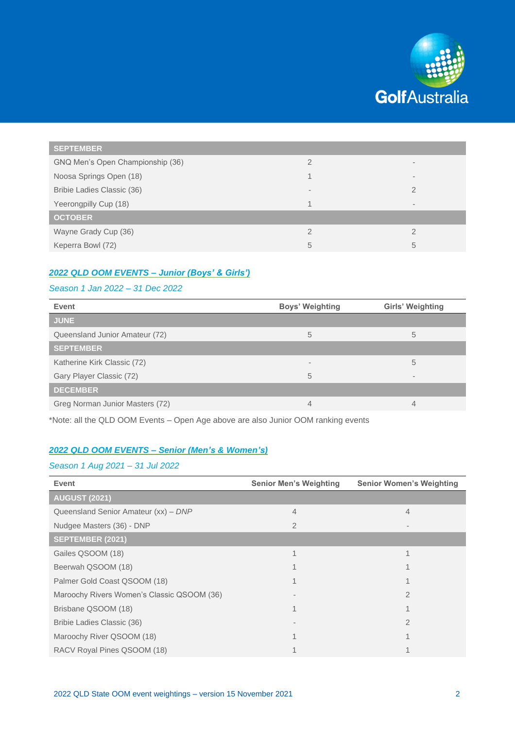

| <b>SEPTEMBER</b>                 |                          |   |
|----------------------------------|--------------------------|---|
| GNQ Men's Open Championship (36) | $\overline{2}$           |   |
| Noosa Springs Open (18)          |                          | ۰ |
| Bribie Ladies Classic (36)       | $\overline{\phantom{a}}$ | 2 |
| Yeerongpilly Cup (18)            | 1                        |   |
| <b>OCTOBER</b>                   |                          |   |
| Wayne Grady Cup (36)             | $\mathcal{P}$            | 2 |
| Keperra Bowl (72)                | 5                        | 5 |

# *2022 QLD OOM EVENTS – Junior (Boys' & Girls')*

#### *Season 1 Jan 2022 – 31 Dec 2022*

| Event                           | <b>Boys' Weighting</b> | <b>Girls' Weighting</b>  |
|---------------------------------|------------------------|--------------------------|
| <b>JUNE</b>                     |                        |                          |
| Queensland Junior Amateur (72)  | 5                      | 5                        |
| <b>SEPTEMBER</b>                |                        |                          |
| Katherine Kirk Classic (72)     | $\,$                   | 5                        |
| Gary Player Classic (72)        | 5                      | $\overline{\phantom{a}}$ |
| <b>DECEMBER</b>                 |                        |                          |
| Greg Norman Junior Masters (72) | 4                      | 4                        |

\*Note: all the QLD OOM Events – Open Age above are also Junior OOM ranking events

## *2022 QLD OOM EVENTS – Senior (Men's & Women's)*

### *Season 1 Aug 2021 – 31 Jul 2022*

| <b>Event</b>                               | <b>Senior Men's Weighting</b> | <b>Senior Women's Weighting</b> |
|--------------------------------------------|-------------------------------|---------------------------------|
| <b>AUGUST (2021)</b>                       |                               |                                 |
| Queensland Senior Amateur (xx) - DNP       | 4                             | 4                               |
| Nudgee Masters (36) - DNP                  |                               |                                 |
| <b>SEPTEMBER (2021)</b>                    |                               |                                 |
| Gailes QSOOM (18)                          |                               |                                 |
| Beerwah QSOOM (18)                         |                               |                                 |
| Palmer Gold Coast QSOOM (18)               |                               |                                 |
| Maroochy Rivers Women's Classic QSOOM (36) |                               |                                 |
| Brisbane QSOOM (18)                        |                               |                                 |
| Bribie Ladies Classic (36)                 |                               |                                 |
| Maroochy River QSOOM (18)                  |                               |                                 |
| RACV Royal Pines QSOOM (18)                |                               |                                 |